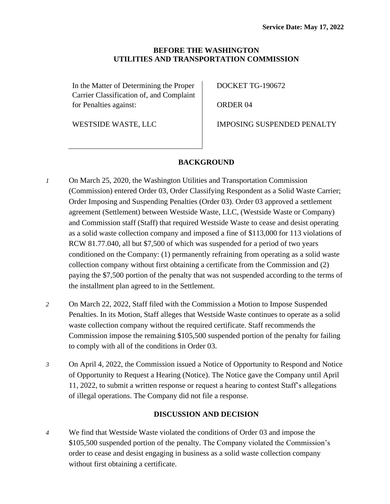### **BEFORE THE WASHINGTON UTILITIES AND TRANSPORTATION COMMISSION**

In the Matter of Determining the Proper Carrier Classification of, and Complaint for Penalties against:

DOCKET TG-190672

ORDER 04

WESTSIDE WASTE, LLC

IMPOSING SUSPENDED PENALTY

# **BACKGROUND**

- *1* On March 25, 2020, the Washington Utilities and Transportation Commission (Commission) entered Order 03, Order Classifying Respondent as a Solid Waste Carrier; Order Imposing and Suspending Penalties (Order 03). Order 03 approved a settlement agreement (Settlement) between Westside Waste, LLC, (Westside Waste or Company) and Commission staff (Staff) that required Westside Waste to cease and desist operating as a solid waste collection company and imposed a fine of \$113,000 for 113 violations of RCW 81.77.040, all but \$7,500 of which was suspended for a period of two years conditioned on the Company: (1) permanently refraining from operating as a solid waste collection company without first obtaining a certificate from the Commission and (2) paying the \$7,500 portion of the penalty that was not suspended according to the terms of the installment plan agreed to in the Settlement.
- *2* On March 22, 2022, Staff filed with the Commission a Motion to Impose Suspended Penalties. In its Motion, Staff alleges that Westside Waste continues to operate as a solid waste collection company without the required certificate. Staff recommends the Commission impose the remaining \$105,500 suspended portion of the penalty for failing to comply with all of the conditions in Order 03.
- *3* On April 4, 2022, the Commission issued a Notice of Opportunity to Respond and Notice of Opportunity to Request a Hearing (Notice). The Notice gave the Company until April 11, 2022, to submit a written response or request a hearing to contest Staff's allegations of illegal operations. The Company did not file a response.

# **DISCUSSION AND DECISION**

*4* We find that Westside Waste violated the conditions of Order 03 and impose the \$105,500 suspended portion of the penalty. The Company violated the Commission's order to cease and desist engaging in business as a solid waste collection company without first obtaining a certificate.